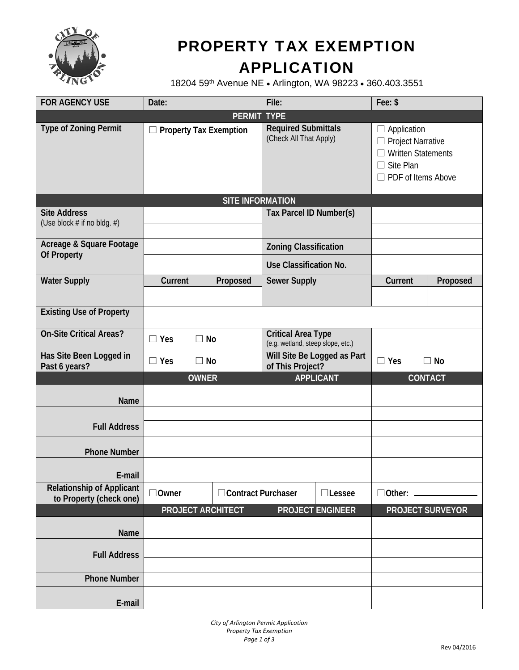

# PROPERTY TAX EXEMPTION APPLICATION

18204 59th Avenue NE . Arlington, WA 98223 . 360.403.3551

| <b>FOR AGENCY USE</b>                                       | Date:                         |                      | File:                                                          |                         | Fee: \$                                                                                                               |                         |
|-------------------------------------------------------------|-------------------------------|----------------------|----------------------------------------------------------------|-------------------------|-----------------------------------------------------------------------------------------------------------------------|-------------------------|
|                                                             |                               | <b>PERMIT TYPE</b>   |                                                                |                         |                                                                                                                       |                         |
| <b>Type of Zoning Permit</b>                                | $\Box$ Property Tax Exemption |                      | <b>Required Submittals</b><br>(Check All That Apply)           |                         | $\Box$ Application<br>$\Box$ Project Narrative<br><b>Written Statements</b><br>Site Plan<br>$\Box$ PDF of Items Above |                         |
|                                                             | <b>SITE INFORMATION</b>       |                      |                                                                |                         |                                                                                                                       |                         |
| <b>Site Address</b><br>(Use block # if no bldg. #)          | Tax Parcel ID Number(s)       |                      |                                                                |                         |                                                                                                                       |                         |
| Acreage & Square Footage<br>Of Property                     |                               |                      | <b>Zoning Classification</b>                                   |                         |                                                                                                                       |                         |
|                                                             |                               |                      | Use Classification No.                                         |                         |                                                                                                                       |                         |
| <b>Water Supply</b>                                         | Current                       | Proposed             | <b>Sewer Supply</b>                                            |                         | Current                                                                                                               | Proposed                |
|                                                             |                               |                      |                                                                |                         |                                                                                                                       |                         |
| <b>Existing Use of Property</b>                             |                               |                      |                                                                |                         |                                                                                                                       |                         |
| <b>On-Site Critical Areas?</b>                              | $\Box$ No<br>$\Box$ Yes       |                      | <b>Critical Area Type</b><br>(e.g. wetland, steep slope, etc.) |                         |                                                                                                                       |                         |
| Has Site Been Logged in<br>Past 6 years?                    | $\Box$ Yes<br>$\Box$ No       |                      | Will Site Be Logged as Part<br>of This Project?                |                         | $\Box$ Yes                                                                                                            | $\Box$ No               |
|                                                             | <b>OWNER</b>                  |                      | <b>APPLICANT</b>                                               |                         |                                                                                                                       | <b>CONTACT</b>          |
| Name                                                        |                               |                      |                                                                |                         |                                                                                                                       |                         |
| <b>Full Address</b>                                         |                               |                      |                                                                |                         |                                                                                                                       |                         |
| <b>Phone Number</b>                                         |                               |                      |                                                                |                         |                                                                                                                       |                         |
|                                                             |                               |                      |                                                                |                         |                                                                                                                       |                         |
| E-mail                                                      |                               |                      |                                                                |                         |                                                                                                                       |                         |
| <b>Relationship of Applicant</b><br>to Property (check one) | $\Box$ Owner                  | □ Contract Purchaser |                                                                | $\Box$ Lessee           | $\Box$ Other: $\_\_$                                                                                                  |                         |
|                                                             | <b>PROJECT ARCHITECT</b>      |                      |                                                                | <b>PROJECT ENGINEER</b> |                                                                                                                       | <b>PROJECT SURVEYOR</b> |
| Name                                                        |                               |                      |                                                                |                         |                                                                                                                       |                         |
| <b>Full Address</b>                                         |                               |                      |                                                                |                         |                                                                                                                       |                         |
| <b>Phone Number</b>                                         |                               |                      |                                                                |                         |                                                                                                                       |                         |
| E-mail                                                      |                               |                      |                                                                |                         |                                                                                                                       |                         |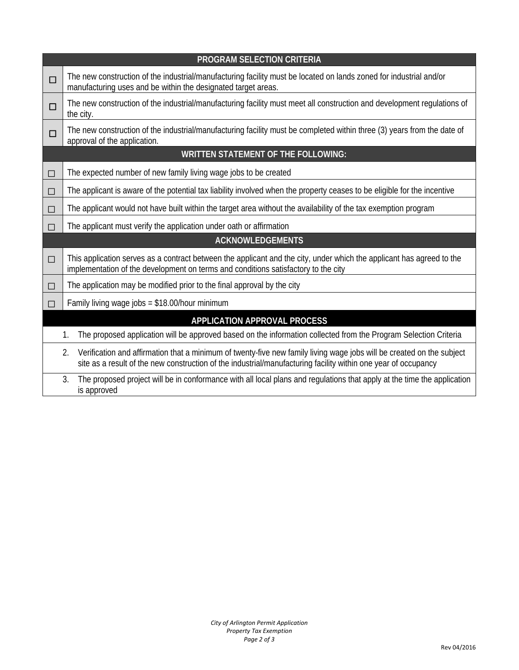| <b>PROGRAM SELECTION CRITERIA</b>                                                                                                            |                                                                                                                                                                                                                                               |  |  |  |  |
|----------------------------------------------------------------------------------------------------------------------------------------------|-----------------------------------------------------------------------------------------------------------------------------------------------------------------------------------------------------------------------------------------------|--|--|--|--|
| □                                                                                                                                            | The new construction of the industrial/manufacturing facility must be located on lands zoned for industrial and/or<br>manufacturing uses and be within the designated target areas.                                                           |  |  |  |  |
| $\Box$                                                                                                                                       | The new construction of the industrial/manufacturing facility must meet all construction and development regulations of<br>the city.                                                                                                          |  |  |  |  |
| $\Box$                                                                                                                                       | The new construction of the industrial/manufacturing facility must be completed within three (3) years from the date of<br>approval of the application.                                                                                       |  |  |  |  |
| <b>WRITTEN STATEMENT OF THE FOLLOWING:</b>                                                                                                   |                                                                                                                                                                                                                                               |  |  |  |  |
| $\Box$                                                                                                                                       | The expected number of new family living wage jobs to be created                                                                                                                                                                              |  |  |  |  |
| □                                                                                                                                            | The applicant is aware of the potential tax liability involved when the property ceases to be eligible for the incentive                                                                                                                      |  |  |  |  |
| □                                                                                                                                            | The applicant would not have built within the target area without the availability of the tax exemption program                                                                                                                               |  |  |  |  |
| $\Box$                                                                                                                                       | The applicant must verify the application under oath or affirmation                                                                                                                                                                           |  |  |  |  |
| <b>ACKNOWLEDGEMENTS</b>                                                                                                                      |                                                                                                                                                                                                                                               |  |  |  |  |
| $\Box$                                                                                                                                       | This application serves as a contract between the applicant and the city, under which the applicant has agreed to the<br>implementation of the development on terms and conditions satisfactory to the city                                   |  |  |  |  |
| □                                                                                                                                            | The application may be modified prior to the final approval by the city                                                                                                                                                                       |  |  |  |  |
| П                                                                                                                                            | Family living wage jobs = $$18.00/hour minimum$                                                                                                                                                                                               |  |  |  |  |
| APPLICATION APPROVAL PROCESS                                                                                                                 |                                                                                                                                                                                                                                               |  |  |  |  |
|                                                                                                                                              | The proposed application will be approved based on the information collected from the Program Selection Criteria<br>1.                                                                                                                        |  |  |  |  |
|                                                                                                                                              | Verification and affirmation that a minimum of twenty-five new family living wage jobs will be created on the subject<br>2.<br>site as a result of the new construction of the industrial/manufacturing facility within one year of occupancy |  |  |  |  |
| 3.<br>The proposed project will be in conformance with all local plans and regulations that apply at the time the application<br>is approved |                                                                                                                                                                                                                                               |  |  |  |  |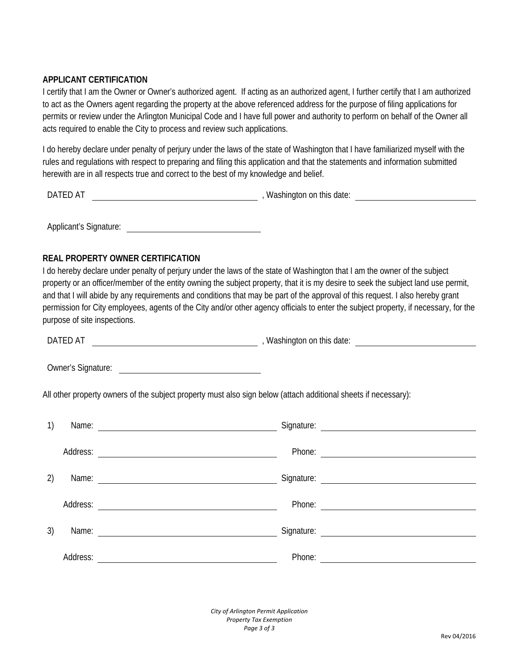### **APPLICANT CERTIFICATION**

I certify that I am the Owner or Owner's authorized agent. If acting as an authorized agent, I further certify that I am authorized to act as the Owners agent regarding the property at the above referenced address for the purpose of filing applications for permits or review under the Arlington Municipal Code and I have full power and authority to perform on behalf of the Owner all acts required to enable the City to process and review such applications.

I do hereby declare under penalty of perjury under the laws of the state of Washington that I have familiarized myself with the rules and regulations with respect to preparing and filing this application and that the statements and information submitted herewith are in all respects true and correct to the best of my knowledge and belief.

DATED AT **DATED** AT **EXECUTE:** THE STATE OF A MASHING AND THE STATE OF A MASHING ON this date:

Applicant's Signature:

## **REAL PROPERTY OWNER CERTIFICATION**

I do hereby declare under penalty of perjury under the laws of the state of Washington that I am the owner of the subject property or an officer/member of the entity owning the subject property, that it is my desire to seek the subject land use permit, and that I will abide by any requirements and conditions that may be part of the approval of this request. I also hereby grant permission for City employees, agents of the City and/or other agency officials to enter the subject property, if necessary, for the purpose of site inspections.

DATED AT **SECUTE AT A REPORT AT A REPORT OF A REPORT OF A REPORT OF A REPORT OF A REPORT OF A REPORT OF A REPORT OF A REPORT OF A REPORT OF A REPORT OF A REPORT OF A REPORT OF A REPORT OF A REPORT OF A REPORT OF A REPORT O** 

Owner's Signature:

All other property owners of the subject property must also sign below (attach additional sheets if necessary):

| 1) | Name:    | Signature:                                        |  |
|----|----------|---------------------------------------------------|--|
|    | Address: | Phone:                                            |  |
| 2) | Name:    | <u> 1989 - Andrea State Barbara, amerikan per</u> |  |
|    | Address: | Phone:                                            |  |
| 3) | Name:    | Signature:                                        |  |
|    | Address: | Phone:                                            |  |

*City of Arlington Permit Application Property Tax Exemption Page 3 of 3*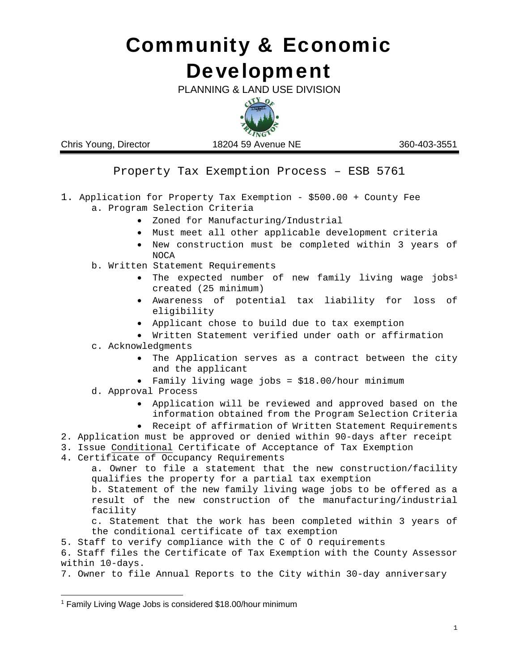# **Development** Community & Economic

PLANNING & LAND USE DIVISION



Chris Young, Director 18204 59 Avenue NE 360-403-3551

Property Tax Exemption Process – ESB 5761

- 1. Application for Property Tax Exemption \$500.00 + County Fee a. Program Selection Criteria
	- Zoned for Manufacturing/Industrial
	- Must meet all other applicable development criteria
	- New construction must be completed within 3 years of NOCA
	- b. Written Statement Requirements
		- The expected number of new family living wage jobs<sup>1</sup> created (25 minimum)
		- Awareness of potential tax liability for loss of eligibility
		- Applicant chose to build due to tax exemption
		- Written Statement verified under oath or affirmation
	- c. Acknowledgments
		- The Application serves as a contract between the city and the applicant
		- Family living wage jobs = \$18.00/hour minimum
	- d. Approval Process
		- Application will be reviewed and approved based on the information obtained from the Program Selection Criteria
		- Receipt of affirmation of Written Statement Requirements

2. Application must be approved or denied within 90-days after receipt

- 3. Issue Conditional Certificate of Acceptance of Tax Exemption
- 4. Certificate of Occupancy Requirements

a. Owner to file a statement that the new construction/facility qualifies the property for a partial tax exemption

b. Statement of the new family living wage jobs to be offered as a result of the new construction of the manufacturing/industrial facility

c. Statement that the work has been completed within 3 years of the conditional certificate of tax exemption

5. Staff to verify compliance with the C of O requirements

6. Staff files the Certificate of Tax Exemption with the County Assessor within 10-days.

7. Owner to file Annual Reports to the City within 30-day anniversary

<sup>1</sup> Family Living Wage Jobs is considered \$18.00/hour minimum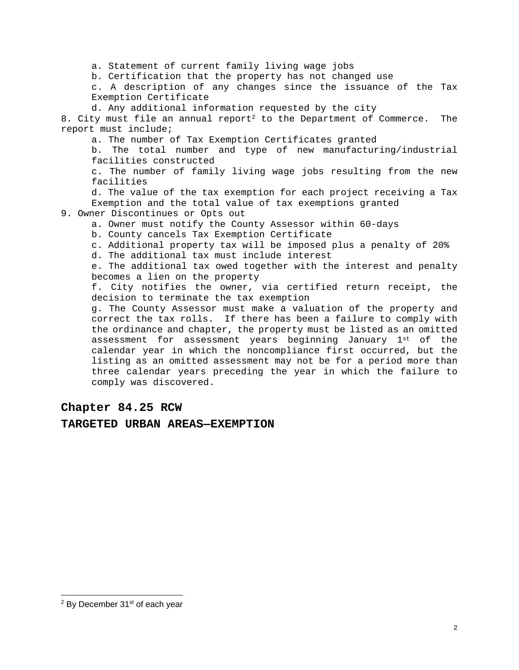a. Statement of current family living wage jobs

b. Certification that the property has not changed use

c. A description of any changes since the issuance of the Tax Exemption Certificate

d. Any additional information requested by the city

8. City must file an annual report<sup>2</sup> to the Department of Commerce. The report must include;

a. The number of Tax Exemption Certificates granted

b. The total number and type of new manufacturing/industrial facilities constructed

c. The number of family living wage jobs resulting from the new facilities

d. The value of the tax exemption for each project receiving a Tax Exemption and the total value of tax exemptions granted

9. Owner Discontinues or Opts out

- a. Owner must notify the County Assessor within 60-days
- b. County cancels Tax Exemption Certificate
- c. Additional property tax will be imposed plus a penalty of 20%
- d. The additional tax must include interest

e. The additional tax owed together with the interest and penalty becomes a lien on the property

f. City notifies the owner, via certified return receipt, the decision to terminate the tax exemption

g. The County Assessor must make a valuation of the property and correct the tax rolls. If there has been a failure to comply with the ordinance and chapter, the property must be listed as an omitted assessment for assessment years beginning January  $1^{st}$  of the calendar year in which the noncompliance first occurred, but the listing as an omitted assessment may not be for a period more than three calendar years preceding the year in which the failure to comply was discovered.

### **Chapter 84.25 RCW**

#### **TARGETED URBAN AREAS—EXEMPTION**

 <sup>2</sup> By December 31<sup>st</sup> of each year